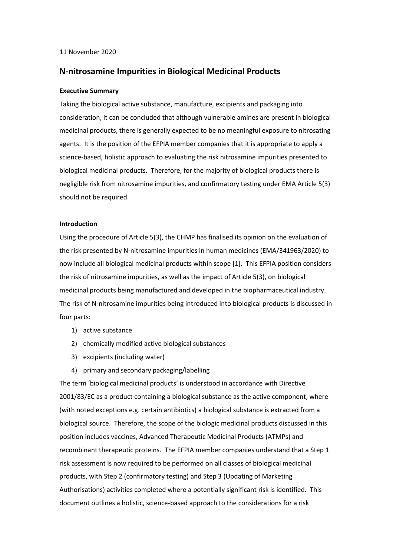#### 11 November 2020

# **N-nitrosamine Impurities in Biological Medicinal Products**

## **Executive Summary**

Taking the biological active substance, manufacture, excipients and packaging into consideration, it can be concluded that although vulnerable amines are present in biological medicinal products, there is generally expected to be no meaningful exposure to nitrosating agents. It is the position of the EFPIA member companies that it is appropriate to apply a science-based, holistic approach to evaluating the risk nitrosamine impurities presented to biological medicinal products. Therefore, for the majority of biological products there is negligible risk from nitrosamine impurities, and confirmatory testing under EMA Article 5(3) should not be required.

#### **Introduction**

Using the procedure of Article 5(3), the CHMP has finalised its opinion on the evaluation of the risk presented by N-nitrosamine impurities in human medicines (EMA/341963/2020) to now include all biological medicinal products within scope [1]. This EFPIA position considers the risk of nitrosamine impurities, as well as the impact of Article 5(3), on biological medicinal products being manufactured and developed in the biopharmaceutical industry. The risk of N-nitrosamine impurities being introduced into biological products is discussed in four parts:

- 1) active substance
- 2) chemically modified active biological substances
- 3) excipients (including water)
- 4) primary and secondary packaging/labelling

The term 'biological medicinal products' is understood in accordance with Directive 2001/83/EC as a product containing a biological substance as the active component, where (with noted exceptions e.g. certain antibiotics) a biological substance is extracted from a biological source. Therefore, the scope of the biologic medicinal products discussed in this position includes vaccines, Advanced Therapeutic Medicinal Products (ATMPs) and recombinant therapeutic proteins. The EFPIA member companies understand that a Step 1 risk assessment is now required to be performed on all classes of biological medicinal products, with Step 2 (confirmatory testing) and Step 3 (Updating of Marketing Authorisations) activities completed where a potentially significant risk is identified. This document outlines a holistic, science-based approach to the considerations for a risk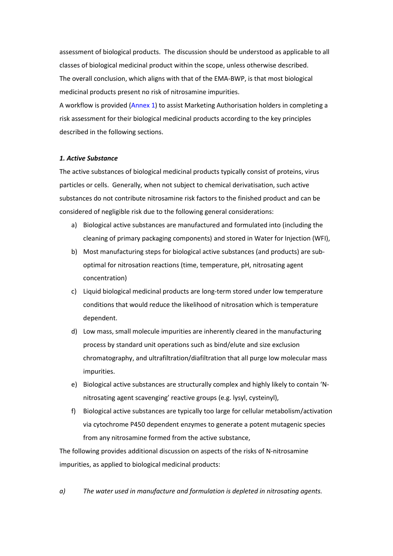assessment of biological products. The discussion should be understood as applicable to all classes of biological medicinal product within the scope, unless otherwise described. The overall conclusion, which aligns with that of the EMA-BWP, is that most biological medicinal products present no risk of nitrosamine impurities.

A workflow is provided (Annex 1) to assist Marketing Authorisation holders in completing a risk assessment for their biological medicinal products according to the key principles described in the following sections.

#### *1. Active Substance*

The active substances of biological medicinal products typically consist of proteins, virus particles or cells. Generally, when not subject to chemical derivatisation, such active substances do not contribute nitrosamine risk factors to the finished product and can be considered of negligible risk due to the following general considerations:

- a) Biological active substances are manufactured and formulated into (including the cleaning of primary packaging components) and stored in Water for Injection (WFI),
- b) Most manufacturing steps for biological active substances (and products) are suboptimal for nitrosation reactions (time, temperature, pH, nitrosating agent concentration)
- c) Liquid biological medicinal products are long-term stored under low temperature conditions that would reduce the likelihood of nitrosation which is temperature dependent.
- d) Low mass, small molecule impurities are inherently cleared in the manufacturing process by standard unit operations such as bind/elute and size exclusion chromatography, and ultrafiltration/diafiltration that all purge low molecular mass impurities.
- e) Biological active substances are structurally complex and highly likely to contain 'Nnitrosating agent scavenging' reactive groups (e.g. lysyl, cysteinyl),
- f) Biological active substances are typically too large for cellular metabolism/activation via cytochrome P450 dependent enzymes to generate a potent mutagenic species from any nitrosamine formed from the active substance,

The following provides additional discussion on aspects of the risks of N-nitrosamine impurities, as applied to biological medicinal products:

*a) The water used in manufacture and formulation is depleted in nitrosating agents.*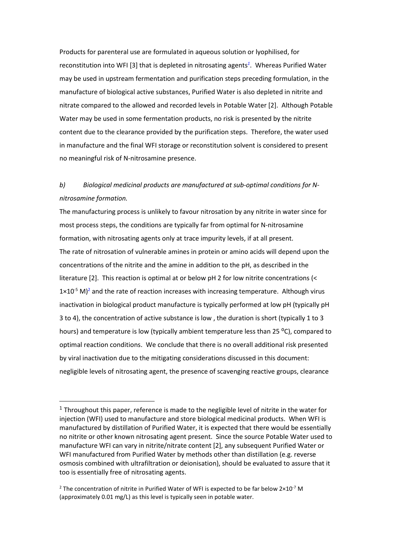<span id="page-2-0"></span>Products for parenteral use are formulated in aqueous solution or lyophilised, for reconstitution into WFI [3] that is depleted in nitrosating agents*<sup>1</sup>* . Whereas Purified Water may be used in upstream fermentation and purification steps preceding formulation, in the manufacture of biological active substances, Purified Water is also depleted in nitrite and nitrate compared to the allowed and recorded levels in Potable Water [2]. Although Potable Water may be used in some fermentation products, no risk is presented by the nitrite content due to the clearance provided by the purification steps. Therefore, the water used in manufacture and the final WFI storage or reconstitution solvent is considered to present no meaningful risk of N-nitrosamine presence.

# *b) Biological medicinal products are manufactured at sub-optimal conditions for Nnitrosamine formation.*

The manufacturing process is unlikely to favour nitrosation by any nitrite in water since for most process steps, the conditions are typically far from optimal for N-nitrosamine formation, with nitrosating agents only at trace impurity levels, if at all present. The rate of nitrosation of vulnerable amines in protein or amino acids will depend upon the concentrations of the nitrite and the amine in addition to the pH, as described in the literature [2]. This reaction is optimal at or below pH 2 for low nitrite concentrations (<  $1 \times 10^{-5}$  M)<sup>2</sup> and the rate of reaction increases with increasing temperature. Although virus inactivation in biological product manufacture is typically performed at low pH (typically pH 3 to 4), the concentration of active substance is low , the duration is short (typically 1 to 3 hours) and temperature is low (typically ambient temperature less than 25 °C), compared to optimal reaction conditions. We conclude that there is no overall additional risk presented by viral inactivation due to the mitigating considerations discussed in this document: negligible levels of nitrosating agent, the presence of scavenging reactive groups, clearance

 $1$  Throughout this paper, reference is made to the negligible level of nitrite in the water for injection (WFI) used to manufacture and store biological medicinal products. When WFI is manufactured by distillation of Purified Water, it is expected that there would be essentially no nitrite or other known nitrosating agent present. Since the source Potable Water used to manufacture WFI can vary in nitrite/nitrate content [2], any subsequent Purified Water or WFI manufactured from Purified Water by methods other than distillation (e.g. reverse osmosis combined with ultrafiltration or deionisation), should be evaluated to assure that it too is essentially free of nitrosating agents.

<sup>&</sup>lt;sup>2</sup> The concentration of nitrite in Purified Water of WFI is expected to be far below  $2\times10^{-7}$  M (approximately 0.01 mg/L) as this level is typically seen in potable water.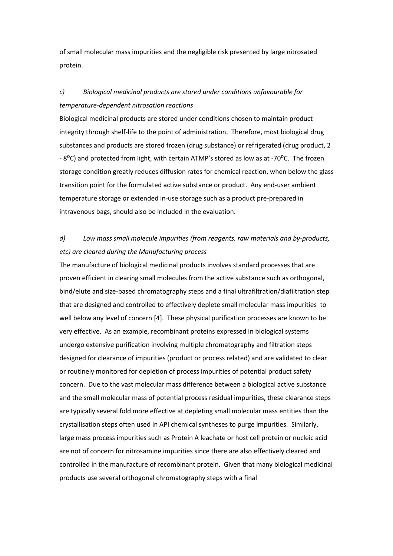of small molecular mass impurities and the negligible risk presented by large nitrosated protein.

# *c) Biological medicinal products are stored under conditions unfavourable for temperature-dependent nitrosation reactions*

Biological medicinal products are stored under conditions chosen to maintain product integrity through shelf-life to the point of administration. Therefore, most biological drug substances and products are stored frozen (drug substance) or refrigerated (drug product, 2 - 8<sup>o</sup>C) and protected from light, with certain ATMP's stored as low as at -70<sup>o</sup>C. The frozen storage condition greatly reduces diffusion rates for chemical reaction, when below the glass transition point for the formulated active substance or product. Any end-user ambient temperature storage or extended in-use storage such as a product pre-prepared in intravenous bags, should also be included in the evaluation.

# *d) Low mass small molecule impurities (from reagents, raw materials and by-products, etc) are cleared during the Manufacturing process*

The manufacture of biological medicinal products involves standard processes that are proven efficient in clearing small molecules from the active substance such as orthogonal, bind/elute and size-based chromatography steps and a final ultrafiltration/diafiltration step that are designed and controlled to effectively deplete small molecular mass impurities to well below any level of concern [4]. These physical purification processes are known to be very effective. As an example, recombinant proteins expressed in biological systems undergo extensive purification involving multiple chromatography and filtration steps designed for clearance of impurities (product or process related) and are validated to clear or routinely monitored for depletion of process impurities of potential product safety concern. Due to the vast molecular mass difference between a biological active substance and the small molecular mass of potential process residual impurities, these clearance steps are typically several fold more effective at depleting small molecular mass entities than the crystallisation steps often used in API chemical syntheses to purge impurities. Similarly, large mass process impurities such as Protein A leachate or host cell protein or nucleic acid are not of concern for nitrosamine impurities since there are also effectively cleared and controlled in the manufacture of recombinant protein. Given that many biological medicinal products use several orthogonal chromatography steps with a final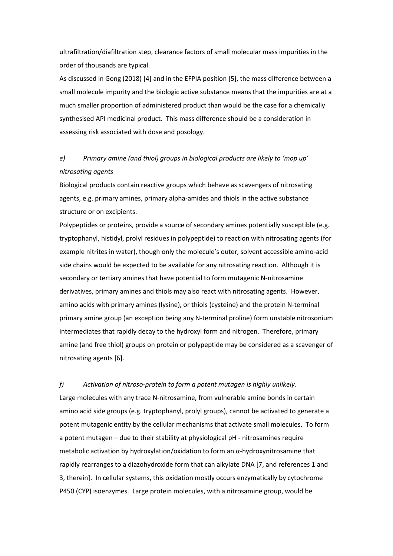ultrafiltration/diafiltration step, clearance factors of small molecular mass impurities in the order of thousands are typical.

As discussed in Gong (2018) [4] and in the EFPIA position [5], the mass difference between a small molecule impurity and the biologic active substance means that the impurities are at a much smaller proportion of administered product than would be the case for a chemically synthesised API medicinal product. This mass difference should be a consideration in assessing risk associated with dose and posology.

# *e) Primary amine (and thiol) groups in biological products are likely to 'mop up' nitrosating agents*

Biological products contain reactive groups which behave as scavengers of nitrosating agents, e.g. primary amines, primary alpha-amides and thiols in the active substance structure or on excipients.

Polypeptides or proteins, provide a source of secondary amines potentially susceptible (e.g. tryptophanyl, histidyl, prolyl residues in polypeptide) to reaction with nitrosating agents (for example nitrites in water), though only the molecule's outer, solvent accessible amino-acid side chains would be expected to be available for any nitrosating reaction. Although it is secondary or tertiary amines that have potential to form mutagenic N-nitrosamine derivatives, primary amines and thiols may also react with nitrosating agents. However, amino acids with primary amines (lysine), or thiols (cysteine) and the protein N-terminal primary amine group (an exception being any N-terminal proline) form unstable nitrosonium intermediates that rapidly decay to the hydroxyl form and nitrogen. Therefore, primary amine (and free thiol) groups on protein or polypeptide may be considered as a scavenger of nitrosating agents [6].

*f) Activation of nitroso-protein to form a potent mutagen is highly unlikely.* Large molecules with any trace N-nitrosamine, from vulnerable amine bonds in certain amino acid side groups (e.g. tryptophanyl, prolyl groups), cannot be activated to generate a potent mutagenic entity by the cellular mechanisms that activate small molecules. To form a potent mutagen – due to their stability at physiological pH - nitrosamines require metabolic activation by hydroxylation/oxidation to form an α-hydroxynitrosamine that rapidly rearranges to a diazohydroxide form that can alkylate DNA [7, and references 1 and 3, therein]. In cellular systems, this oxidation mostly occurs enzymatically by cytochrome P450 (CYP) isoenzymes. Large protein molecules, with a nitrosamine group, would be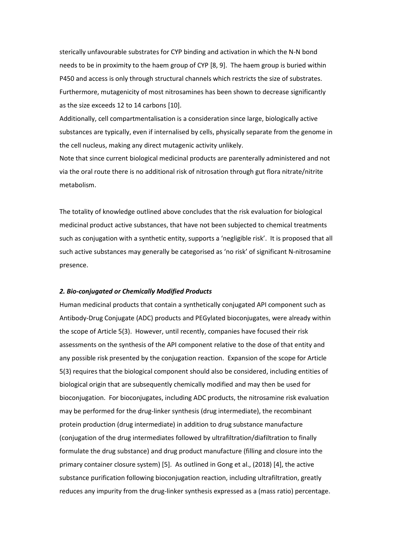sterically unfavourable substrates for CYP binding and activation in which the N-N bond needs to be in proximity to the haem group of CYP [8, 9]. The haem group is buried within P450 and access is only through structural channels which restricts the size of substrates. Furthermore, mutagenicity of most nitrosamines has been shown to decrease significantly as the size exceeds 12 to 14 carbons [10].

Additionally, cell compartmentalisation is a consideration since large, biologically active substances are typically, even if internalised by cells, physically separate from the genome in the cell nucleus, making any direct mutagenic activity unlikely.

Note that since current biological medicinal products are parenterally administered and not via the oral route there is no additional risk of nitrosation through gut flora nitrate/nitrite metabolism.

The totality of knowledge outlined above concludes that the risk evaluation for biological medicinal product active substances, that have not been subjected to chemical treatments such as conjugation with a synthetic entity, supports a 'negligible risk'. It is proposed that all such active substances may generally be categorised as 'no risk' of significant N-nitrosamine presence.

#### *2. Bio-conjugated or Chemically Modified Products*

Human medicinal products that contain a synthetically conjugated API component such as Antibody-Drug Conjugate (ADC) products and PEGylated bioconjugates, were already within the scope of Article 5(3). However, until recently, companies have focused their risk assessments on the synthesis of the API component relative to the dose of that entity and any possible risk presented by the conjugation reaction. Expansion of the scope for Article 5(3) requires that the biological component should also be considered, including entities of biological origin that are subsequently chemically modified and may then be used for bioconjugation. For bioconjugates, including ADC products, the nitrosamine risk evaluation may be performed for the drug-linker synthesis (drug intermediate), the recombinant protein production (drug intermediate) in addition to drug substance manufacture (conjugation of the drug intermediates followed by ultrafiltration/diafiltration to finally formulate the drug substance) and drug product manufacture (filling and closure into the primary container closure system) [5]. As outlined in Gong et al., (2018) [4], the active substance purification following bioconjugation reaction, including ultrafiltration, greatly reduces any impurity from the drug-linker synthesis expressed as a (mass ratio) percentage.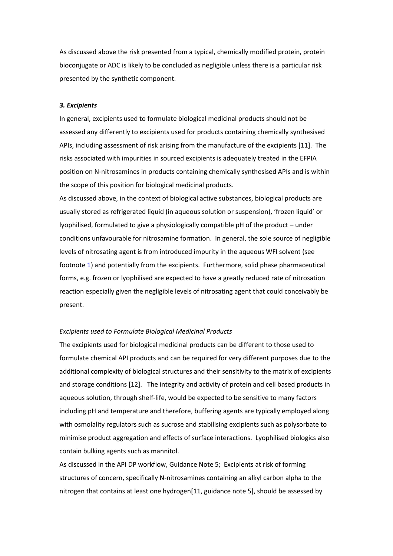As discussed above the risk presented from a typical, chemically modified protein, protein bioconjugate or ADC is likely to be concluded as negligible unless there is a particular risk presented by the synthetic component.

#### *3. Excipients*

In general, excipients used to formulate biological medicinal products should not be assessed any differently to excipients used for products containing chemically synthesised APIs, including assessment of risk arising from the manufacture of the excipients [11]. The risks associated with impurities in sourced excipients is adequately treated in the EFPIA position on N-nitrosamines in products containing chemically synthesised APIs and is within the scope of this position for biological medicinal products.

As discussed above, in the context of biological active substances, biological products are usually stored as refrigerated liquid (in aqueous solution or suspension), 'frozen liquid' or lyophilised, formulated to give a physiologically compatible pH of the product – under conditions unfavourable for nitrosamine formation. In general, the sole source of negligible levels of nitrosating agent is from introduced impurity in the aqueous WFI solvent (see footnote [1\)](#page-2-0) and potentially from the excipients. Furthermore, solid phase pharmaceutical forms, e.g. frozen or lyophilised are expected to have a greatly reduced rate of nitrosation reaction especially given the negligible levels of nitrosating agent that could conceivably be present.

## *Excipients used to Formulate Biological Medicinal Products*

The excipients used for biological medicinal products can be different to those used to formulate chemical API products and can be required for very different purposes due to the additional complexity of biological structures and their sensitivity to the matrix of excipients and storage conditions [12]. The integrity and activity of protein and cell based products in aqueous solution, through shelf-life, would be expected to be sensitive to many factors including pH and temperature and therefore, buffering agents are typically employed along with osmolality regulators such as sucrose and stabilising excipients such as polysorbate to minimise product aggregation and effects of surface interactions. Lyophilised biologics also contain bulking agents such as mannitol.

As discussed in the API DP workflow, Guidance Note 5; Excipients at risk of forming structures of concern, specifically N-nitrosamines containing an alkyl carbon alpha to the nitrogen that contains at least one hydrogen[11, guidance note 5], should be assessed by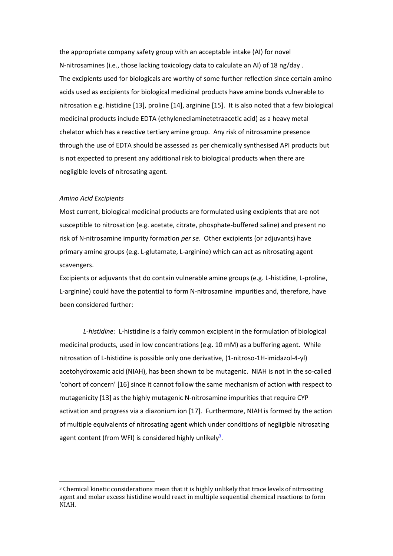the appropriate company safety group with an acceptable intake (AI) for novel N-nitrosamines (i.e., those lacking toxicology data to calculate an AI) of 18 ng/day . The excipients used for biologicals are worthy of some further reflection since certain amino acids used as excipients for biological medicinal products have amine bonds vulnerable to nitrosation e.g. histidine [13], proline [14], arginine [15]. It is also noted that a few biological medicinal products include EDTA (ethylenediaminetetraacetic acid) as a heavy metal chelator which has a reactive tertiary amine group. Any risk of nitrosamine presence through the use of EDTA should be assessed as per chemically synthesised API products but is not expected to present any additional risk to biological products when there are negligible levels of nitrosating agent.

#### *Amino Acid Excipients*

Most current, biological medicinal products are formulated using excipients that are not susceptible to nitrosation (e.g. acetate, citrate, phosphate-buffered saline) and present no risk of N-nitrosamine impurity formation *per se*. Other excipients (or adjuvants) have primary amine groups (e.g. L-glutamate, L-arginine) which can act as nitrosating agent scavengers.

Excipients or adjuvants that do contain vulnerable amine groups (e.g. L-histidine, L-proline, L-arginine) could have the potential to form N-nitrosamine impurities and, therefore, have been considered further:

*L-histidine:* L-histidine is a fairly common excipient in the formulation of biological medicinal products, used in low concentrations (e.g. 10 mM) as a buffering agent. While nitrosation of L-histidine is possible only one derivative, (1-nitroso-1H-imidazol-4-yl) acetohydroxamic acid (NIAH), has been shown to be mutagenic. NIAH is not in the so-called 'cohort of concern' [16] since it cannot follow the same mechanism of action with respect to mutagenicity [13] as the highly mutagenic N-nitrosamine impurities that require CYP activation and progress via a diazonium ion [17]. Furthermore, NIAH is formed by the action of multiple equivalents of nitrosating agent which under conditions of negligible nitrosating agent content (from WFI) is considered highly unlikely<sup>3</sup>.

<sup>3</sup> Chemical kinetic considerations mean that it is highly unlikely that trace levels of nitrosating agent and molar excess histidine would react in multiple sequential chemical reactions to form NIAH.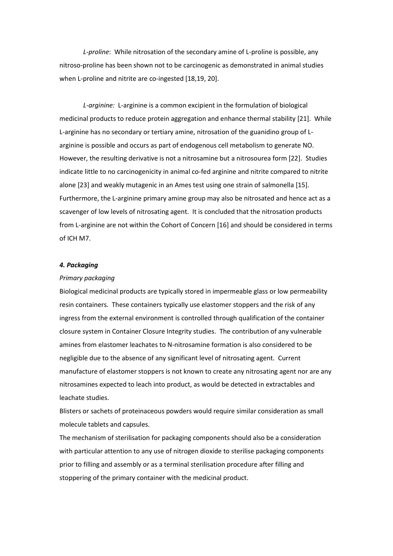*L-proline*: While nitrosation of the secondary amine of L-proline is possible, any nitroso-proline has been shown not to be carcinogenic as demonstrated in animal studies when L-proline and nitrite are co-ingested [18,19, 20].

*L-arginine:* L-arginine is a common excipient in the formulation of biological medicinal products to reduce protein aggregation and enhance thermal stability [21]. While L-arginine has no secondary or tertiary amine, nitrosation of the guanidino group of Larginine is possible and occurs as part of endogenous cell metabolism to generate NO. However, the resulting derivative is not a nitrosamine but a nitrosourea form [22]. Studies indicate little to no carcinogenicity in animal co-fed arginine and nitrite compared to nitrite alone [23] and weakly mutagenic in an Ames test using one strain of salmonella [15]. Furthermore, the L-arginine primary amine group may also be nitrosated and hence act as a scavenger of low levels of nitrosating agent. It is concluded that the nitrosation products from L-arginine are not within the Cohort of Concern [16] and should be considered in terms of ICH M7.

#### *4. Packaging*

#### *Primary packaging*

Biological medicinal products are typically stored in impermeable glass or low permeability resin containers. These containers typically use elastomer stoppers and the risk of any ingress from the external environment is controlled through qualification of the container closure system in Container Closure Integrity studies. The contribution of any vulnerable amines from elastomer leachates to N-nitrosamine formation is also considered to be negligible due to the absence of any significant level of nitrosating agent. Current manufacture of elastomer stoppers is not known to create any nitrosating agent nor are any nitrosamines expected to leach into product, as would be detected in extractables and leachate studies.

Blisters or sachets of proteinaceous powders would require similar consideration as small molecule tablets and capsules.

The mechanism of sterilisation for packaging components should also be a consideration with particular attention to any use of nitrogen dioxide to sterilise packaging components prior to filling and assembly or as a terminal sterilisation procedure after filling and stoppering of the primary container with the medicinal product.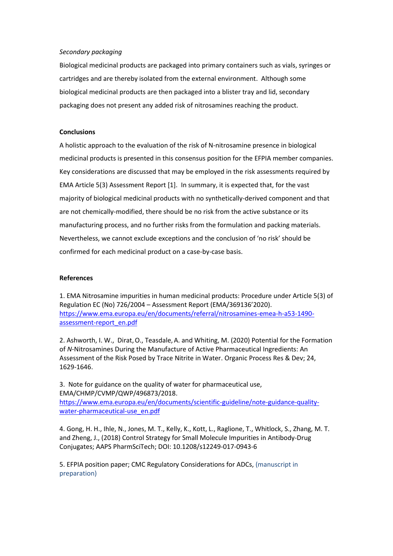## *Secondary packaging*

Biological medicinal products are packaged into primary containers such as vials, syringes or cartridges and are thereby isolated from the external environment. Although some biological medicinal products are then packaged into a blister tray and lid, secondary packaging does not present any added risk of nitrosamines reaching the product.

## **Conclusions**

A holistic approach to the evaluation of the risk of N-nitrosamine presence in biological medicinal products is presented in this consensus position for the EFPIA member companies. Key considerations are discussed that may be employed in the risk assessments required by EMA Article 5(3) Assessment Report [1]. In summary, it is expected that, for the vast majority of biological medicinal products with no synthetically-derived component and that are not chemically-modified, there should be no risk from the active substance or its manufacturing process, and no further risks from the formulation and packing materials. Nevertheless, we cannot exclude exceptions and the conclusion of 'no risk' should be confirmed for each medicinal product on a case-by-case basis.

### **References**

1. EMA Nitrosamine impurities in human medicinal products: Procedure under Article 5(3) of Regulation EC (No) 726/2004 – Assessment Report (EMA/369136'2020). [https://www.ema.europa.eu/en/documents/referral/nitrosamines-emea-h-a53-1490](https://www.ema.europa.eu/en/documents/referral/nitrosamines-emea-h-a53-1490-assessment-report_en.pdf) [assessment-report\\_en.pdf](https://www.ema.europa.eu/en/documents/referral/nitrosamines-emea-h-a53-1490-assessment-report_en.pdf)

2. Ashworth, I. W., Dirat,O., Teasdale,A. and Whiting, M. (2020) Potential for the Formation of *N*-Nitrosamines During the Manufacture of Active Pharmaceutical Ingredients: An Assessment of the Risk Posed by Trace Nitrite in Water. Organic Process Res & Dev; 24, 1629-1646.

3. Note for guidance on the quality of water for pharmaceutical use, EMA/CHMP/CVMP/QWP/496873/2018. [https://www.ema.europa.eu/en/documents/scientific-guideline/note-guidance-quality](https://www.ema.europa.eu/en/documents/scientific-guideline/note-guidance-quality-water-pharmaceutical-use_en.pdf)[water-pharmaceutical-use\\_en.pdf](https://www.ema.europa.eu/en/documents/scientific-guideline/note-guidance-quality-water-pharmaceutical-use_en.pdf)

4. Gong, H. H., Ihle, N., Jones, M. T., Kelly, K., Kott, L., Raglione, T., Whitlock, S., Zhang, M. T. and Zheng, J., (2018) Control Strategy for Small Molecule Impurities in Antibody-Drug Conjugates; AAPS PharmSciTech; DOI: 10.1208/s12249-017-0943-6

5. EFPIA position paper; CMC Regulatory Considerations for ADCs, (manuscript in preparation)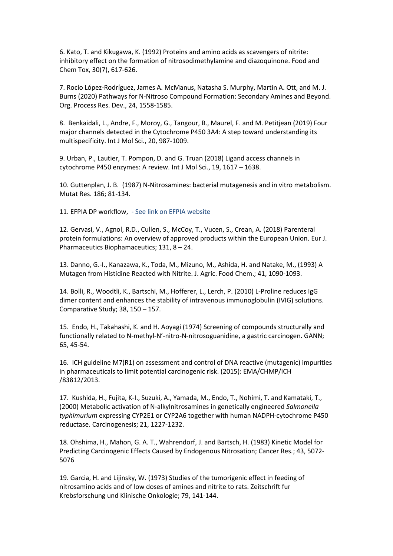6. Kato, T. and Kikugawa, K. (1992) Proteins and amino acids as scavengers of nitrite: inhibitory effect on the formation of nitrosodimethylamine and diazoquinone. Food and Chem Tox, 30(7), 617-626.

7. Rocío López-Rodríguez, James A. McManus, Natasha S. Murphy, Martin A. Ott, and M. J. Burns (2020) Pathways for N-Nitroso Compound Formation: Secondary Amines and Beyond. Org. Process Res. Dev., 24, 1558-1585.

8. Benkaidali, L., Andre, F., Moroy, G., Tangour, B., Maurel, F. and M. Petitjean (2019) Four major channels detected in the Cytochrome P450 3A4: A step toward understanding its multispecificity. Int J Mol Sci., 20, 987-1009.

9. Urban, P., Lautier, T. Pompon, D. and G. Truan (2018) Ligand access channels in cytochrome P450 enzymes: A review. Int J Mol Sci., 19, 1617 – 1638.

10. Guttenplan, J. B. (1987) N-Nitrosamines: bacterial mutagenesis and in vitro metabolism. Mutat Res. 186; 81-134.

11. EFPIA DP workflow, - See link on EFPIA website

12. Gervasi, V., Agnol, R.D., Cullen, S., McCoy, T., Vucen, S., Crean, A. (2018) Parenteral protein formulations: An overview of approved products within the European Union. Eur J. Pharmaceutics Biophamaceutics; 131, 8 – 24.

13. Danno, G.-I., Kanazawa, K., Toda, M., Mizuno, M., Ashida, H. and Natake, M., (1993) A Mutagen from Histidine Reacted with Nitrite. J. Agric. Food Chem.; 41, 1090-1093.

14. Bolli, R., Woodtli, K., Bartschi, M., Hofferer, L., Lerch, P. (2010) L-Proline reduces IgG dimer content and enhances the stability of intravenous immunoglobulin (IVIG) solutions. Comparative Study; 38, 150 – 157.

15. Endo, H., Takahashi, K. and H. Aoyagi (1974) Screening of compounds structurally and functionally related to N-methyl-N'-nitro-N-nitrosoguanidine, a gastric carcinogen. GANN; 65, 45-54.

16. ICH guideline M7(R1) on assessment and control of DNA reactive (mutagenic) impurities in pharmaceuticals to limit potential carcinogenic risk. (2015): EMA/CHMP/ICH /83812/2013.

17. Kushida, H., Fujita, K-I., Suzuki, A., Yamada, M., Endo, T., Nohimi, T. and Kamataki, T., (2000) Metabolic activation of N-alkylnitrosamines in genetically engineered *Salmonella typhimurium* expressing CYP2E1 or CYP2A6 together with human NADPH-cytochrome P450 reductase. Carcinogenesis; 21, 1227-1232.

18. Ohshima, H., Mahon, G. A. T., Wahrendorf, J. and Bartsch, H. (1983) Kinetic Model for Predicting Carcinogenic Effects Caused by Endogenous Nitrosation; Cancer Res.; 43, 5072- 5076

19. Garcia, H. and Lijinsky, W. (1973) Studies of the tumorigenic effect in feeding of nitrosamino acids and of low doses of amines and nitrite to rats. Zeitschrift fur Krebsforschung und Klinische Onkologie; 79, 141-144.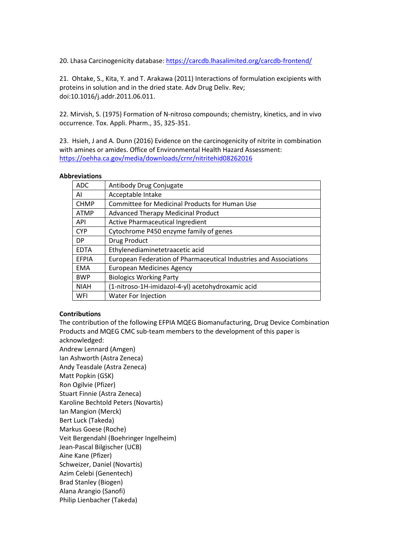20. Lhasa Carcinogenicity database[: https://carcdb.lhasalimited.org/carcdb-frontend/](https://carcdb.lhasalimited.org/carcdb-frontend/)

21. Ohtake, S., Kita, Y. and T. Arakawa (2011) Interactions of formulation excipients with proteins in solution and in the dried state. Adv Drug Deliv. Rev; doi:10.1016/j.addr.2011.06.011.

22. Mirvish, S. (1975) Formation of N-nitroso compounds; chemistry, kinetics, and in vivo occurrence. Tox. Appli. Pharm., 35, 325-351.

23. Hsieh, J and A. Dunn (2016) Evidence on the carcinogenicity of nitrite in combination with amines or amides. Office of Environmental Health Hazard Assessment: <https://oehha.ca.gov/media/downloads/crnr/nitritehid08262016>

#### **Abbreviations**

| <b>ADC</b>   | Antibody Drug Conjugate                                           |
|--------------|-------------------------------------------------------------------|
| AI           | Acceptable Intake                                                 |
| <b>CHMP</b>  | Committee for Medicinal Products for Human Use                    |
| <b>ATMP</b>  | <b>Advanced Therapy Medicinal Product</b>                         |
| <b>API</b>   | <b>Active Pharmaceutical Ingredient</b>                           |
| <b>CYP</b>   | Cytochrome P450 enzyme family of genes                            |
| DP           | Drug Product                                                      |
| <b>EDTA</b>  | Ethylenediaminetetraacetic acid                                   |
| <b>EFPIA</b> | European Federation of Pharmaceutical Industries and Associations |
| <b>EMA</b>   | <b>European Medicines Agency</b>                                  |
| <b>BWP</b>   | <b>Biologics Working Party</b>                                    |
| <b>NIAH</b>  | (1-nitroso-1H-imidazol-4-yl) acetohydroxamic acid                 |
| WFI          | <b>Water For Injection</b>                                        |

# **Contributions**

The contribution of the following EFPIA MQEG Biomanufacturing, Drug Device Combination Products and MQEG CMC sub-team members to the development of this paper is acknowledged:

- Andrew Lennard (Amgen) Ian Ashworth (Astra Zeneca)
- Andy Teasdale (Astra Zeneca) Matt Popkin (GSK) Ron Ogilvie (Pfizer) Stuart Finnie (Astra Zeneca) Karoline Bechtold Peters (Novartis) Ian Mangion (Merck) Bert Luck (Takeda) Markus Goese (Roche) Veit Bergendahl (Boehringer Ingelheim) Jean-Pascal Bilgischer (UCB) Aine Kane (Pfizer) Schweizer, Daniel (Novartis) Azim Celebi (Genentech) Brad Stanley (Biogen) Alana Arangio (Sanofi) Philip Lienbacher (Takeda)